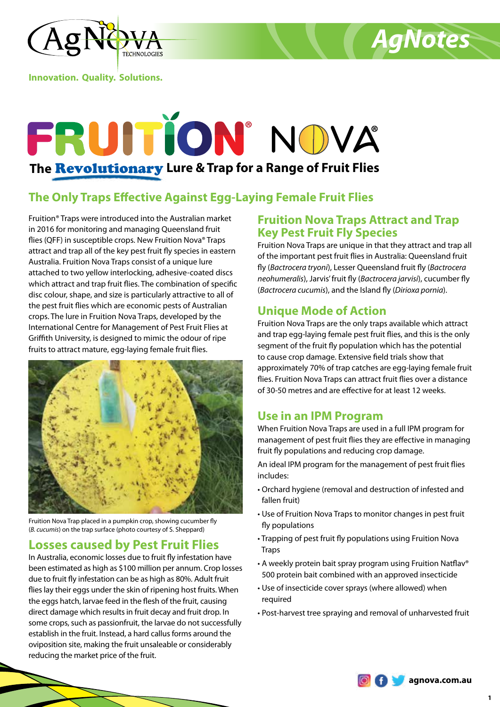



**Innovation. Quality. Solutions.**

# FRUITION' NOVA **The** Revolutionary **Lure & Trap for a Range of Fruit Flies**

## **The Only Traps Effective Against Egg-Laying Female Fruit Flies**

Fruition® Traps were introduced into the Australian market in 2016 for monitoring and managing Queensland fruit flies (QFF) in susceptible crops. New Fruition Nova® Traps attract and trap all of the key pest fruit fly species in eastern Australia. Fruition Nova Traps consist of a unique lure attached to two yellow interlocking, adhesive-coated discs which attract and trap fruit flies. The combination of specific disc colour, shape, and size is particularly attractive to all of the pest fruit flies which are economic pests of Australian crops. The lure in Fruition Nova Traps, developed by the International Centre for Management of Pest Fruit Flies at Griffith University, is designed to mimic the odour of ripe fruits to attract mature, egg-laying female fruit flies.



Fruition Nova Trap placed in a pumpkin crop, showing cucumber fly (*B. cucumis*) on the trap surface (photo courtesy of S. Sheppard)

## **Losses caused by Pest Fruit Flies**

In Australia, economic losses due to fruit fly infestation have been estimated as high as \$100 million per annum. Crop losses due to fruit fly infestation can be as high as 80%. Adult fruit flies lay their eggs under the skin of ripening host fruits. When the eggs hatch, larvae feed in the flesh of the fruit, causing direct damage which results in fruit decay and fruit drop. In some crops, such as passionfruit, the larvae do not successfully establish in the fruit. Instead, a hard callus forms around the oviposition site, making the fruit unsaleable or considerably reducing the market price of the fruit.

## **Fruition Nova Traps Attract and Trap Key Pest Fruit Fly Species**

Fruition Nova Traps are unique in that they attract and trap all of the important pest fruit flies in Australia: Queensland fruit fly (*Bactrocera tryoni*), Lesser Queensland fruit fly (*Bactrocera neohumeralis*), Jarvis' fruit fly (*Bactrocera jarvisi*), cucumber fly (*Bactrocera cucumis*), and the Island fly (*Dirioxa pornia*).

## **Unique Mode of Action**

Fruition Nova Traps are the only traps available which attract and trap egg-laying female pest fruit flies, and this is the only segment of the fruit fly population which has the potential to cause crop damage. Extensive field trials show that approximately 70% of trap catches are egg-laying female fruit flies. Fruition Nova Traps can attract fruit flies over a distance of 30-50 metres and are effective for at least 12 weeks.

## **Use in an IPM Program**

When Fruition Nova Traps are used in a full IPM program for management of pest fruit flies they are effective in managing fruit fly populations and reducing crop damage.

An ideal IPM program for the management of pest fruit flies includes:

- Orchard hygiene (removal and destruction of infested and fallen fruit)
- Use of Fruition Nova Traps to monitor changes in pest fruit fly populations
- Trapping of pest fruit fly populations using Fruition Nova Traps
- A weekly protein bait spray program using Fruition Natflav® 500 protein bait combined with an approved insecticide
- Use of insecticide cover sprays (where allowed) when required
- Post-harvest tree spraying and removal of unharvested fruit

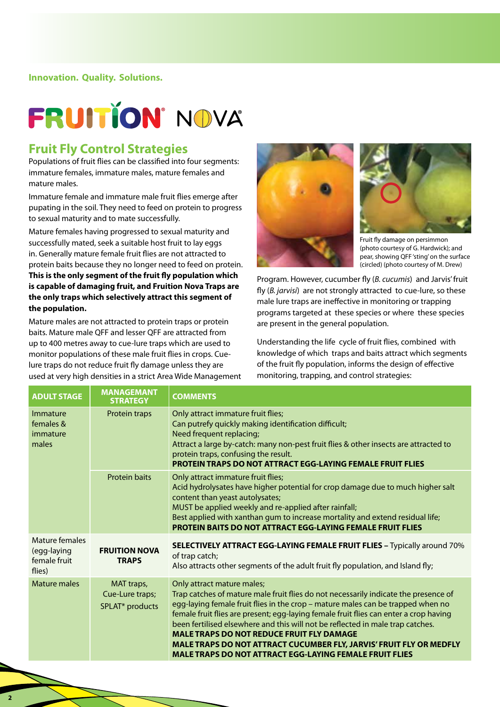# **FRUITION' NOVA**

### **Fruit Fly Control Strategies**

Populations of fruit flies can be classified into four segments: immature females, immature males, mature females and mature males.

Immature female and immature male fruit flies emerge after pupating in the soil. They need to feed on protein to progress to sexual maturity and to mate successfully.

Mature females having progressed to sexual maturity and successfully mated, seek a suitable host fruit to lay eggs in. Generally mature female fruit flies are not attracted to protein baits because they no longer need to feed on protein. **This is the only segment of the fruit fly population which is capable of damaging fruit, and Fruition Nova Traps are the only traps which selectively attract this segment of the population.**

Mature males are not attracted to protein traps or protein baits. Mature male QFF and lesser QFF are attracted from up to 400 metres away to cue-lure traps which are used to monitor populations of these male fruit flies in crops. Cuelure traps do not reduce fruit fly damage unless they are used at very high densities in a strict Area Wide Management





Fruit fly damage on persimmon (photo courtesy of G. Hardwick); and pear, showing QFF 'sting' on the surface (circled) (photo courtesy of M. Drew)

Program. However, cucumber fly (*B. cucumis*) and Jarvis' fruit fly (*B. jarvisi*) are not strongly attracted to cue-lure, so these male lure traps are ineffective in monitoring or trapping programs targeted at these species or where these species are present in the general population.

Understanding the life cycle of fruit flies, combined with knowledge of which traps and baits attract which segments of the fruit fly population, informs the design of effective monitoring, trapping, and control strategies:

| <b>ADULT STAGE</b>                                               | <b>MANAGEMANT</b><br><b>STRATEGY</b> | <b>COMMENTS</b>                                                                                                                                                                                                                                                                                                                                                                                                                                                                                                                                                                     |  |
|------------------------------------------------------------------|--------------------------------------|-------------------------------------------------------------------------------------------------------------------------------------------------------------------------------------------------------------------------------------------------------------------------------------------------------------------------------------------------------------------------------------------------------------------------------------------------------------------------------------------------------------------------------------------------------------------------------------|--|
| Immature<br>females &<br>immature<br>males                       | Protein traps                        | Only attract immature fruit flies;<br>Can putrefy quickly making identification difficult;<br>Need frequent replacing;<br>Attract a large by-catch: many non-pest fruit flies & other insects are attracted to<br>protein traps, confusing the result.<br><b>PROTEIN TRAPS DO NOT ATTRACT EGG-LAYING FEMALE FRUIT FLIES</b>                                                                                                                                                                                                                                                         |  |
|                                                                  | <b>Protein baits</b>                 | Only attract immature fruit flies;<br>Acid hydrolysates have higher potential for crop damage due to much higher salt<br>content than yeast autolysates;<br>MUST be applied weekly and re-applied after rainfall;<br>Best applied with xanthan gum to increase mortality and extend residual life;<br><b>PROTEIN BAITS DO NOT ATTRACT EGG-LAYING FEMALE FRUIT FLIES</b>                                                                                                                                                                                                             |  |
| Mature females<br>(egg-laying<br>female fruit<br>flies)          | <b>FRUITION NOVA</b><br><b>TRAPS</b> | SELECTIVELY ATTRACT EGG-LAYING FEMALE FRUIT FLIES - Typically around 70%<br>of trap catch;<br>Also attracts other segments of the adult fruit fly population, and Island fly;                                                                                                                                                                                                                                                                                                                                                                                                       |  |
| Mature males<br>MAT traps,<br>Cue-Lure traps;<br>SPLAT* products |                                      | Only attract mature males;<br>Trap catches of mature male fruit flies do not necessarily indicate the presence of<br>egg-laying female fruit flies in the crop - mature males can be trapped when no<br>female fruit flies are present; egg-laying female fruit flies can enter a crop having<br>been fertilised elsewhere and this will not be reflected in male trap catches.<br><b>MALE TRAPS DO NOT REDUCE FRUIT FLY DAMAGE</b><br><b>MALE TRAPS DO NOT ATTRACT CUCUMBER FLY, JARVIS' FRUIT FLY OR MEDFLY</b><br><b>MALE TRAPS DO NOT ATTRACT EGG-LAYING FEMALE FRUIT FLIES</b> |  |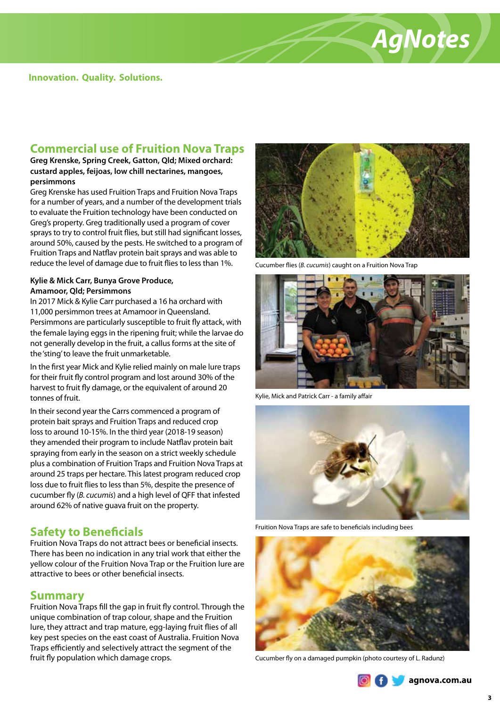

### **Commercial use of Fruition Nova Traps**

**Greg Krenske, Spring Creek, Gatton, Qld; Mixed orchard: custard apples, feijoas, low chill nectarines, mangoes, persimmons**

Greg Krenske has used Fruition Traps and Fruition Nova Traps for a number of years, and a number of the development trials to evaluate the Fruition technology have been conducted on Greg's property. Greg traditionally used a program of cover sprays to try to control fruit flies, but still had significant losses, around 50%, caused by the pests. He switched to a program of Fruition Traps and Natflav protein bait sprays and was able to reduce the level of damage due to fruit flies to less than 1%.

#### **Kylie & Mick Carr, Bunya Grove Produce, Amamoor, Qld; Persimmons**

In 2017 Mick & Kylie Carr purchased a 16 ha orchard with 11,000 persimmon trees at Amamoor in Queensland. Persimmons are particularly susceptible to fruit fly attack, with the female laying eggs in the ripening fruit; while the larvae do not generally develop in the fruit, a callus forms at the site of the 'sting' to leave the fruit unmarketable.

In the first year Mick and Kylie relied mainly on male lure traps for their fruit fly control program and lost around 30% of the harvest to fruit fly damage, or the equivalent of around 20 tonnes of fruit.

In their second year the Carrs commenced a program of protein bait sprays and Fruition Traps and reduced crop loss to around 10-15%. In the third year (2018-19 season) they amended their program to include Natflav protein bait spraying from early in the season on a strict weekly schedule plus a combination of Fruition Traps and Fruition Nova Traps at around 25 traps per hectare. This latest program reduced crop loss due to fruit flies to less than 5%, despite the presence of cucumber fly (*B. cucumis*) and a high level of QFF that infested around 62% of native guava fruit on the property.

### **Safety to Beneficials**

Fruition Nova Traps do not attract bees or beneficial insects. There has been no indication in any trial work that either the yellow colour of the Fruition Nova Trap or the Fruition lure are attractive to bees or other beneficial insects.

#### **Summary**

Fruition Nova Traps fill the gap in fruit fly control. Through the unique combination of trap colour, shape and the Fruition lure, they attract and trap mature, egg-laying fruit flies of all key pest species on the east coast of Australia. Fruition Nova Traps efficiently and selectively attract the segment of the fruit fly population which damage crops. Cucumber fly on a damaged pumpkin (photo courtesy of L. Radunz)



Cucumber flies (*B. cucumis*) caught on a Fruition Nova Trap



Kylie, Mick and Patrick Carr - a family affair



Fruition Nova Traps are safe to beneficials including bees